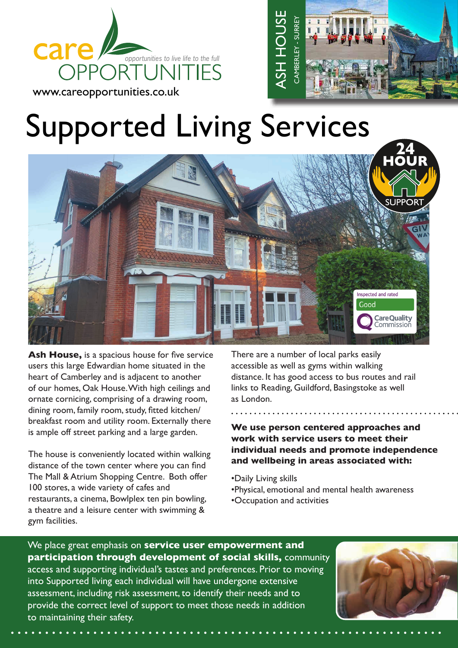





**Ash House,** is a spacious house for five service users this large Edwardian home situated in the heart of Camberley and is adjacent to another of our homes, Oak House. With high ceilings and ornate cornicing, comprising of a drawing room, dining room, family room, study, fitted kitchen/ breakfast room and utility room. Externally there is ample off street parking and a large garden.

The house is conveniently located within walking distance of the town center where you can find The Mall & Atrium Shopping Centre. Both offer 100 stores, a wide variety of cafes and restaurants, a cinema, Bowlplex ten pin bowling, a theatre and a leisure center with swimming & gym facilities.

There are a number of local parks easily accessible as well as gyms within walking distance. It has good access to bus routes and rail links to Reading, Guildford, Basingstoke as well as London.

**We use person centered approaches and work with service users to meet their individual needs and promote independence and wellbeing in areas associated with:**

- •Daily Living skills
- •Physical, emotional and mental health awareness
- •Occupation and activities

We place great emphasis on **service user empowerment and participation through development of social skills,** community access and supporting individual's tastes and preferences. Prior to moving into Supported living each individual will have undergone extensive assessment, including risk assessment, to identify their needs and to provide the correct level of support to meet those needs in addition to maintaining their safety.